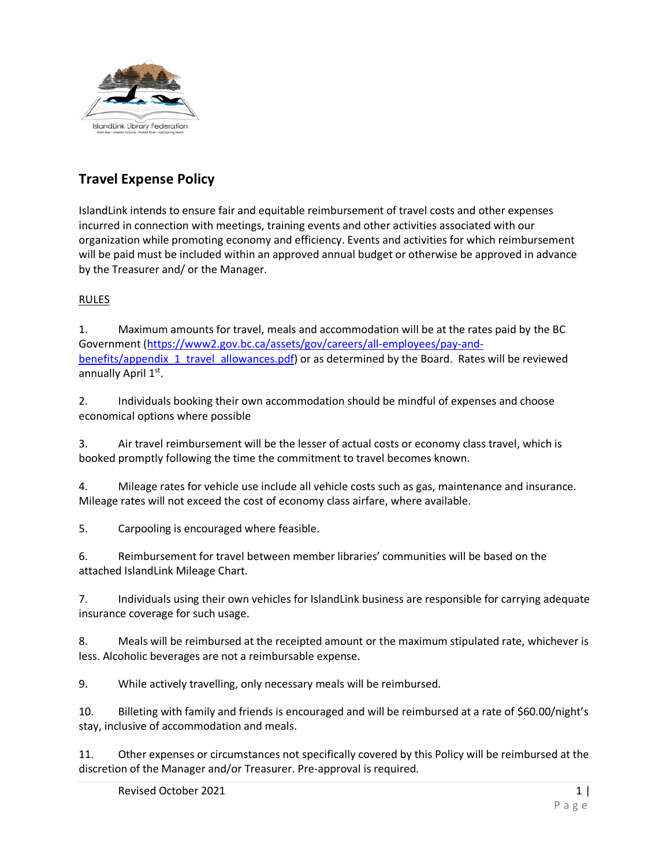

# **Travel Expense Policy**

IslandLink intends to ensure fair and equitable reimbursement of travel costs and other expenses incurred in connection with meetings, training events and other activities associated with our organization while promoting economy and efficiency. Events and activities for which reimbursement will be paid must be included within an approved annual budget or otherwise be approved in advance by the Treasurer and/ or the Manager.

### RULES

1. Maximum amounts for travel, meals and accommodation will be at the rates paid by the BC Government [\(https://www2.gov.bc.ca/assets/gov/careers/all-employees/pay-and](https://www2.gov.bc.ca/assets/gov/careers/all-employees/pay-and-benefits/appendix_1_travel_allowances.pdf)[benefits/appendix\\_1\\_travel\\_allowances.pdf\)](https://www2.gov.bc.ca/assets/gov/careers/all-employees/pay-and-benefits/appendix_1_travel_allowances.pdf) or as determined by the Board. Rates will be reviewed annually April 1st.

2. Individuals booking their own accommodation should be mindful of expenses and choose economical options where possible

3. Air travel reimbursement will be the lesser of actual costs or economy class travel, which is booked promptly following the time the commitment to travel becomes known.

4. Mileage rates for vehicle use include all vehicle costs such as gas, maintenance and insurance. Mileage rates will not exceed the cost of economy class airfare, where available.

5. Carpooling is encouraged where feasible.

6. Reimbursement for travel between member libraries' communities will be based on the attached IslandLink Mileage Chart.

7. Individuals using their own vehicles for IslandLink business are responsible for carrying adequate insurance coverage for such usage.

8. Meals will be reimbursed at the receipted amount or the maximum stipulated rate, whichever is less. Alcoholic beverages are not a reimbursable expense.

9. While actively travelling, only necessary meals will be reimbursed.

10. Billeting with family and friends is encouraged and will be reimbursed at a rate of \$60.00/night's stay, inclusive of accommodation and meals.

11. Other expenses or circumstances not specifically covered by this Policy will be reimbursed at the discretion of the Manager and/or Treasurer. Pre-approval is required.